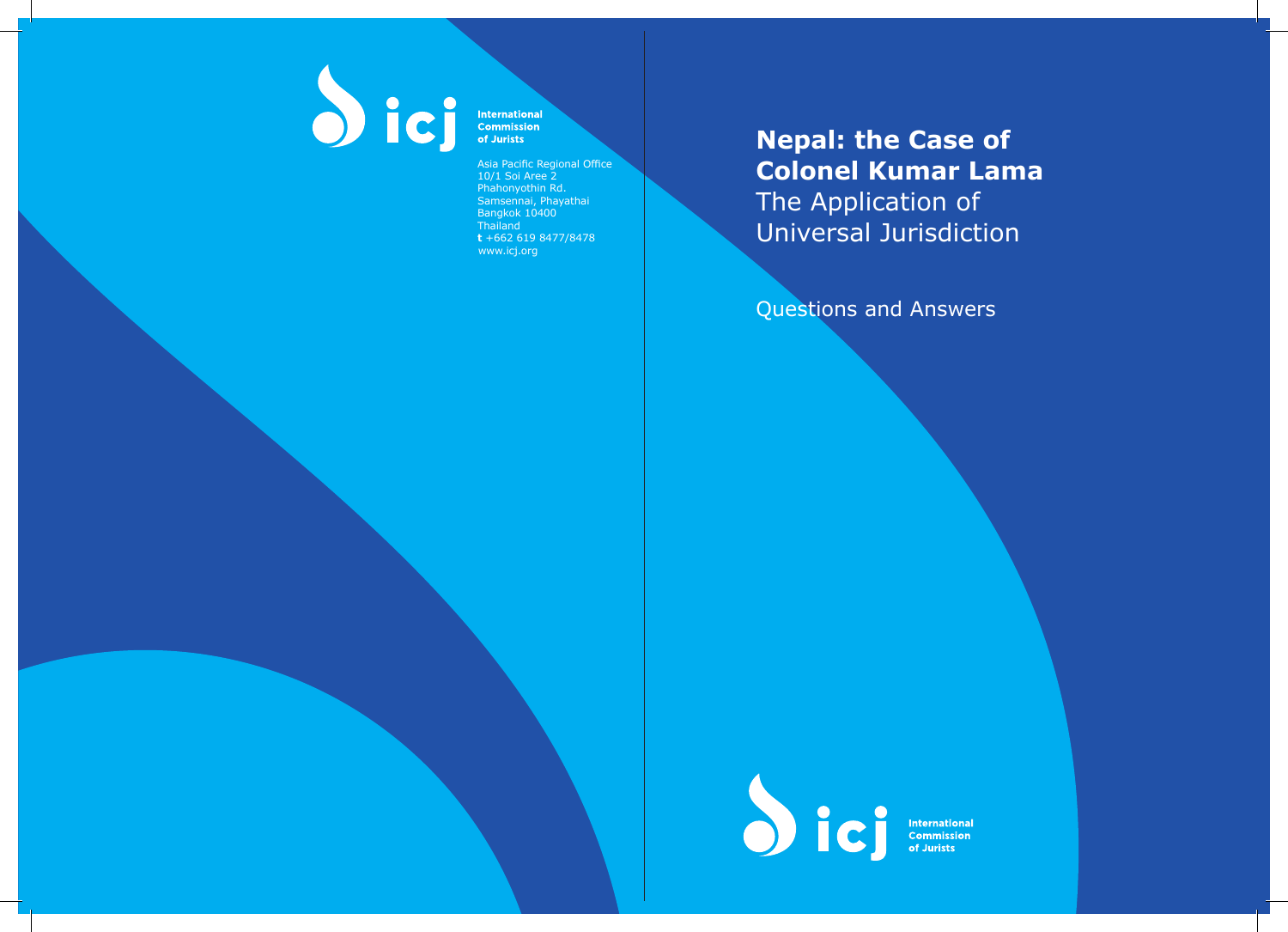

International<br>Commission of Jurists

Asia Pacific Regional Office 10/1 Soi Aree 2 Phahonyothin Rd. Samsennai, Phayathai Bangkok 10400 **Thailand t** +662 619 8477/8478 www.icj.org

**Nepal: the Case of Colonel Kumar Lama**  The Application of Universal Jurisdiction

Questions and Answers

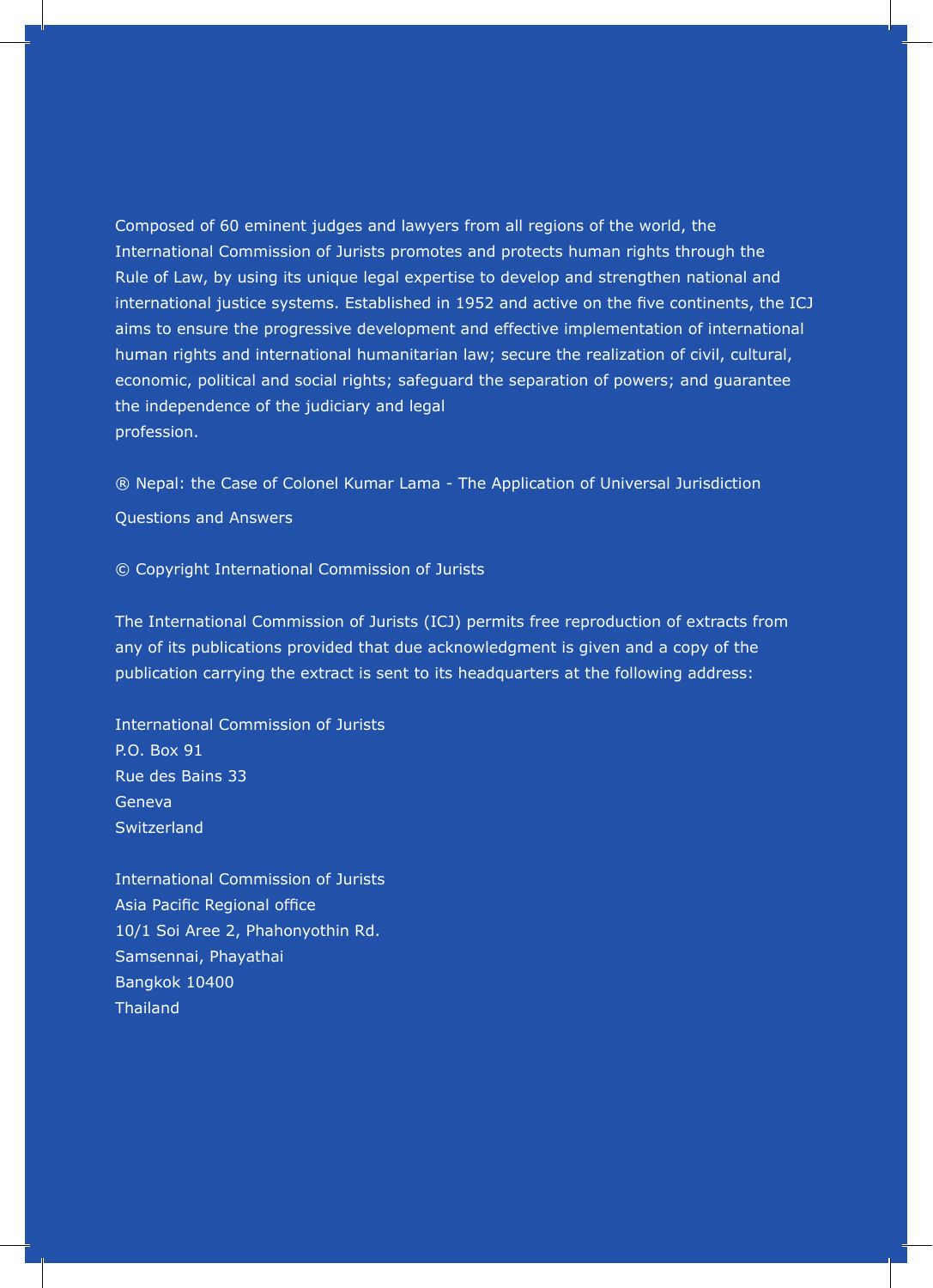Composed of 60 eminent judges and lawyers from all regions of the world, the International Commission of Jurists promotes and protects human rights through the Rule of Law, by using its unique legal expertise to develop and strengthen national and international justice systems. Established in 1952 and active on the five continents, the ICJ aims to ensure the progressive development and effective implementation of international human rights and international humanitarian law; secure the realization of civil, cultural, economic, political and social rights; safeguard the separation of powers; and guarantee the independence of the judiciary and legal profession.

® Nepal: the Case of Colonel Kumar Lama - The Application of Universal Jurisdiction Questions and Answers

© Copyright International Commission of Jurists

The International Commission of Jurists (ICJ) permits free reproduction of extracts from any of its publications provided that due acknowledgment is given and a copy of the publication carrying the extract is sent to its headquarters at the following address:

International Commission of Jurists P.O. Box 91 Rue des Bains 33 Geneva **Switzerland** 

International Commission of Jurists Asia Pacific Regional office 10/1 Soi Aree 2, Phahonyothin Rd. Samsennai, Phayathai Bangkok 10400 **Thailand**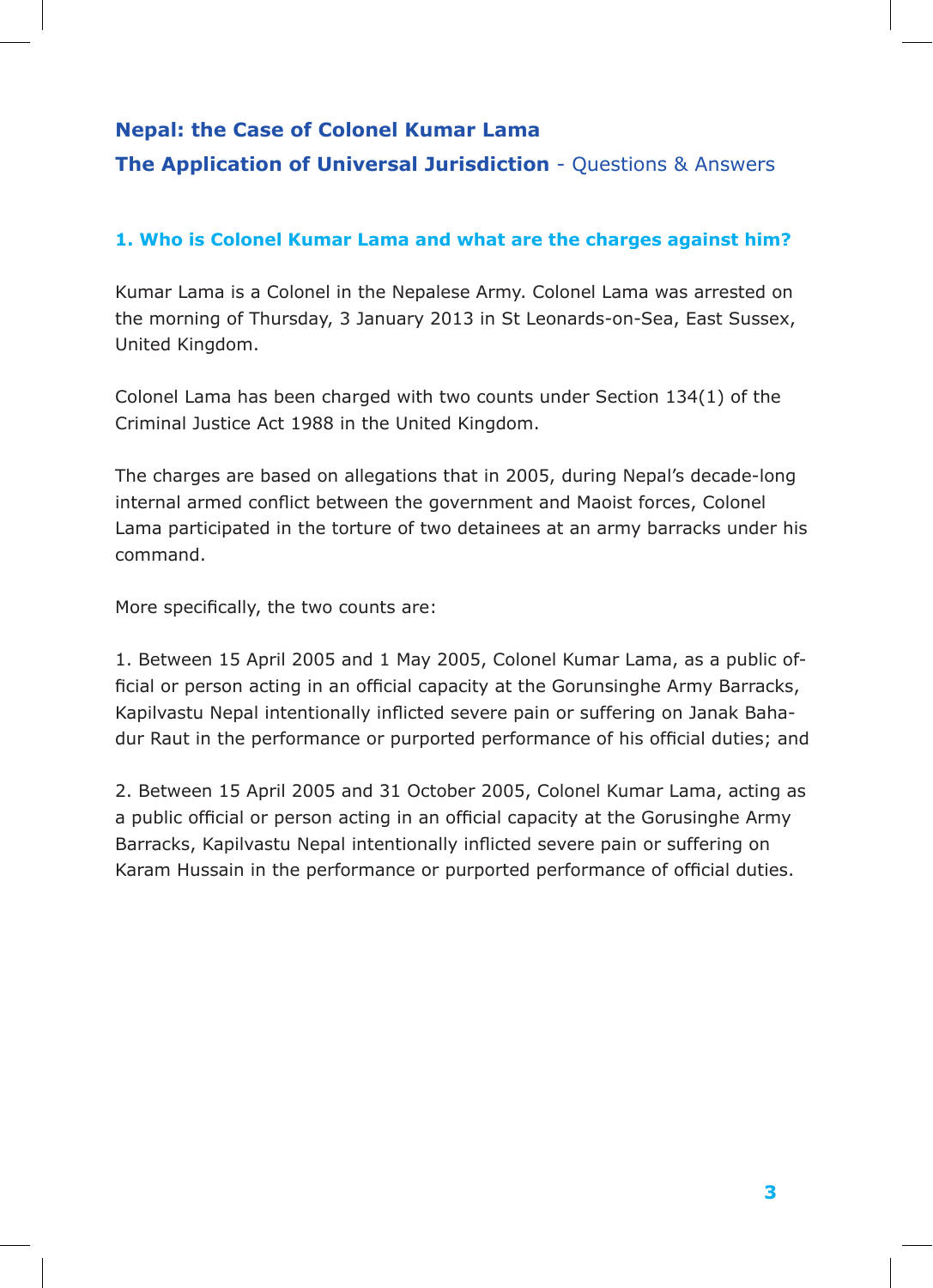## **The ASEAN Human Rights Declaration: Nepal: the Case of Colonel Kumar Lama**

## **The Application of Universal Jurisdiction** - Questions & Answers

### 1. Who is Colonel Kumar Lama and what are the charges against him?

Kumar Lama is a Colonel in the Nepalese Army. Colonel Lama was arrested on the morning of Thursday, 3 January 2013 in St Leonards-on-Sea, East Sussex, aims to ensure the progressive development and effective implementation of international United Kingdom.

Colonel Lama has been charged with two counts under Section 134(1) of the Criminal Justice Act 1988 in the United Kingdom.

internal armed conflict between the government and Maoist forces, Colonel © Copyright International Commission of Jurists command. The charges are based on allegations that in 2005, during Nepal's decade-long Lama participated in the torture of two detainees at an army barracks under his

More specifically, the two counts are:  $\frac{1}{2}$ any of its publications provided that due acknowledgment is given and a copy of the

1. Between 15 April 2005 and 1 May 2005, Colonel Kumar Lama, as a public of-Kapilvastu Nepal intentionally inflicted severe pain or suffering on Janak Baha-P.O. Box 91 dur Raut in the performance or purported performance of his official duties; and ficial or person acting in an official capacity at the Gorunsinghe Army Barracks,

Geneva 2. Between 15 April 2005 and 31 October 2005, Colonel Kumar Lama, acting as Barracks, Kapilvastu Nepal intentionally inflicted severe pain or suffering on Karam Hussain in the performance or purported performance of official duties. a public official or person acting in an official capacity at the Gorusinghe Army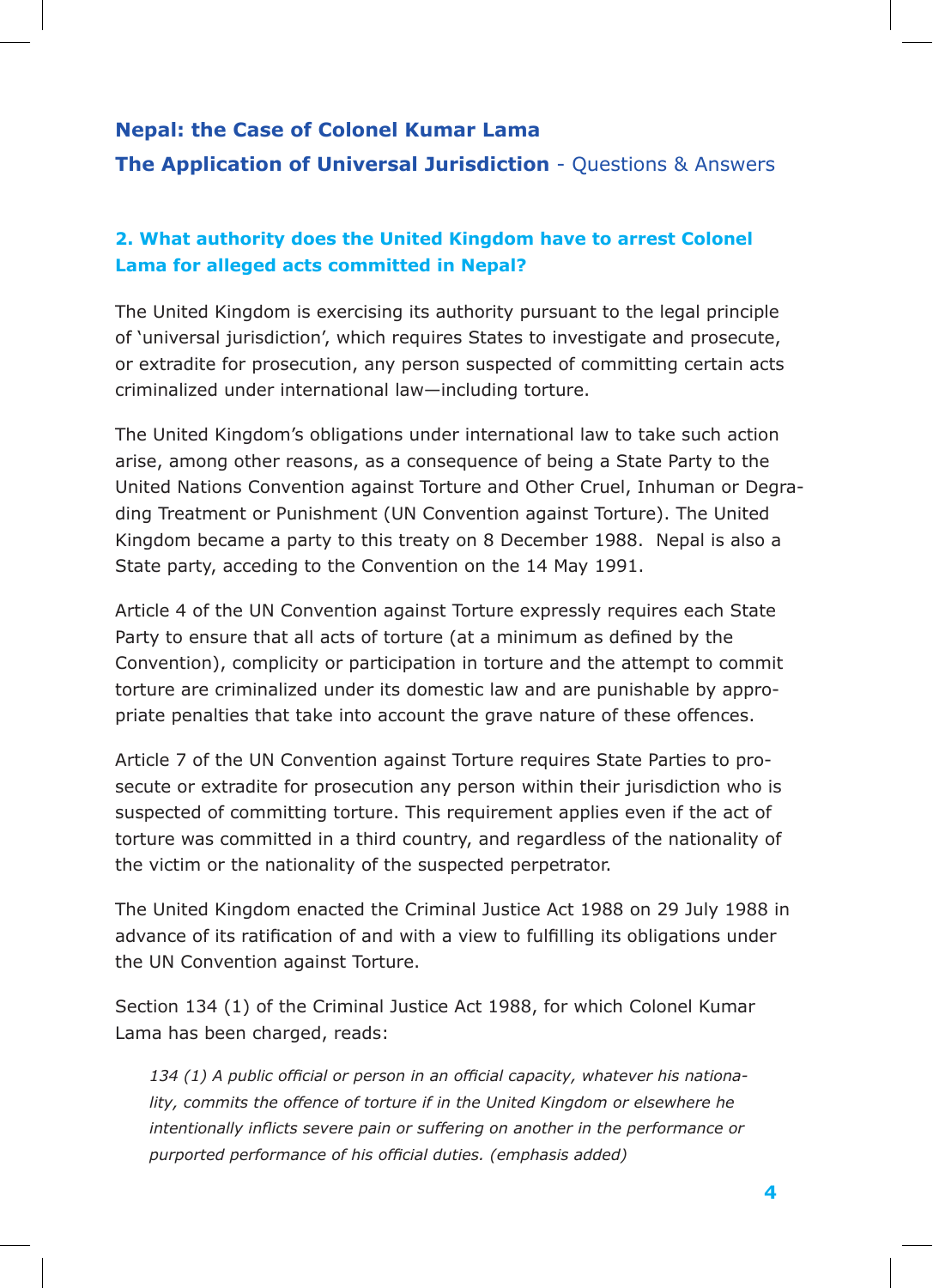### **Nepal: the Case of Colonel Kumar Lama**

**The Application of Universal Jurisdiction** - Questions & Answers

## **2. What authority does the United Kingdom have to arrest Colonel Lama for alleged acts committed in Nepal?**

The United Kingdom is exercising its authority pursuant to the legal principle of 'universal jurisdiction', which requires States to investigate and prosecute, or extradite for prosecution, any person suspected of committing certain acts criminalized under international law—including torture.

The United Kingdom's obligations under international law to take such action arise, among other reasons, as a consequence of being a State Party to the United Nations Convention against Torture and Other Cruel, Inhuman or Degrading Treatment or Punishment (UN Convention against Torture). The United Kingdom became a party to this treaty on 8 December 1988. Nepal is also a State party, acceding to the Convention on the 14 May 1991.

Article 4 of the UN Convention against Torture expressly requires each State Party to ensure that all acts of torture (at a minimum as defined by the Convention), complicity or participation in torture and the attempt to commit torture are criminalized under its domestic law and are punishable by appropriate penalties that take into account the grave nature of these offences.

Article 7 of the UN Convention against Torture requires State Parties to prosecute or extradite for prosecution any person within their jurisdiction who is suspected of committing torture. This requirement applies even if the act of torture was committed in a third country, and regardless of the nationality of the victim or the nationality of the suspected perpetrator.

The United Kingdom enacted the Criminal Justice Act 1988 on 29 July 1988 in advance of its ratification of and with a view to fulfilling its obligations under the UN Convention against Torture.

Section 134 (1) of the Criminal Justice Act 1988, for which Colonel Kumar Lama has been charged, reads:

*134 (1) A public official or person in an official capacity, whatever his nationality, commits the offence of torture if in the United Kingdom or elsewhere he intentionally inflicts severe pain or suffering on another in the performance or purported performance of his official duties. (emphasis added)*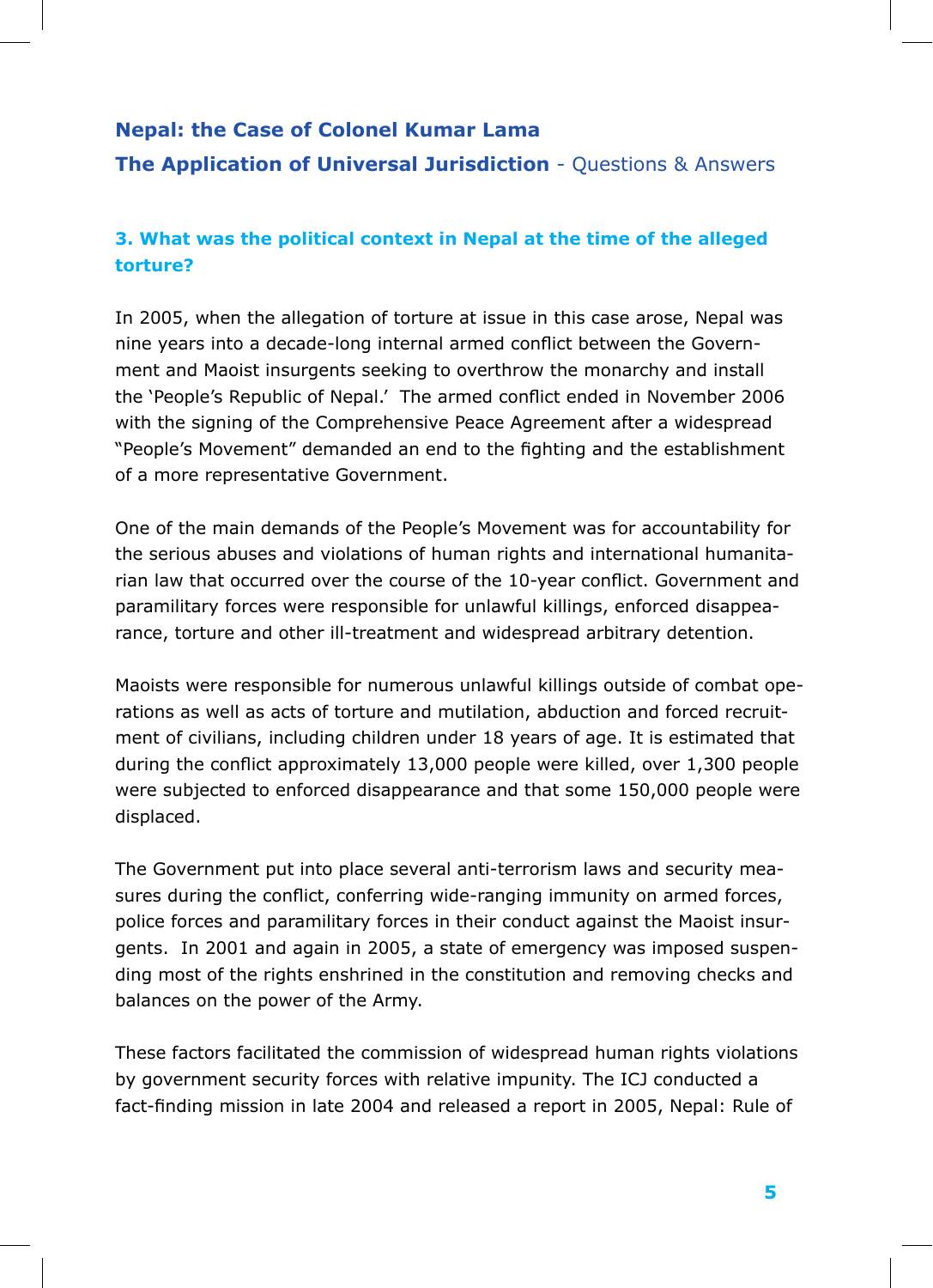## **3. What was the political context in Nepal at the time of the alleged torture?**

In 2005, when the allegation of torture at issue in this case arose, Nepal was nine years into a decade-long internal armed conflict between the Government and Maoist insurgents seeking to overthrow the monarchy and install the 'People's Republic of Nepal.' The armed conflict ended in November 2006 with the signing of the Comprehensive Peace Agreement after a widespread "People's Movement" demanded an end to the fighting and the establishment of a more representative Government.

One of the main demands of the People's Movement was for accountability for the serious abuses and violations of human rights and international humanitarian law that occurred over the course of the 10-year conflict. Government and paramilitary forces were responsible for unlawful killings, enforced disappearance, torture and other ill-treatment and widespread arbitrary detention.

Maoists were responsible for numerous unlawful killings outside of combat operations as well as acts of torture and mutilation, abduction and forced recruitment of civilians, including children under 18 years of age. It is estimated that during the conflict approximately 13,000 people were killed, over 1,300 people were subjected to enforced disappearance and that some 150,000 people were displaced.

The Government put into place several anti-terrorism laws and security measures during the conflict, conferring wide-ranging immunity on armed forces, police forces and paramilitary forces in their conduct against the Maoist insurgents. In 2001 and again in 2005, a state of emergency was imposed suspending most of the rights enshrined in the constitution and removing checks and balances on the power of the Army.

These factors facilitated the commission of widespread human rights violations by government security forces with relative impunity. The ICJ conducted a fact-finding mission in late 2004 and released a report in 2005, Nepal: Rule of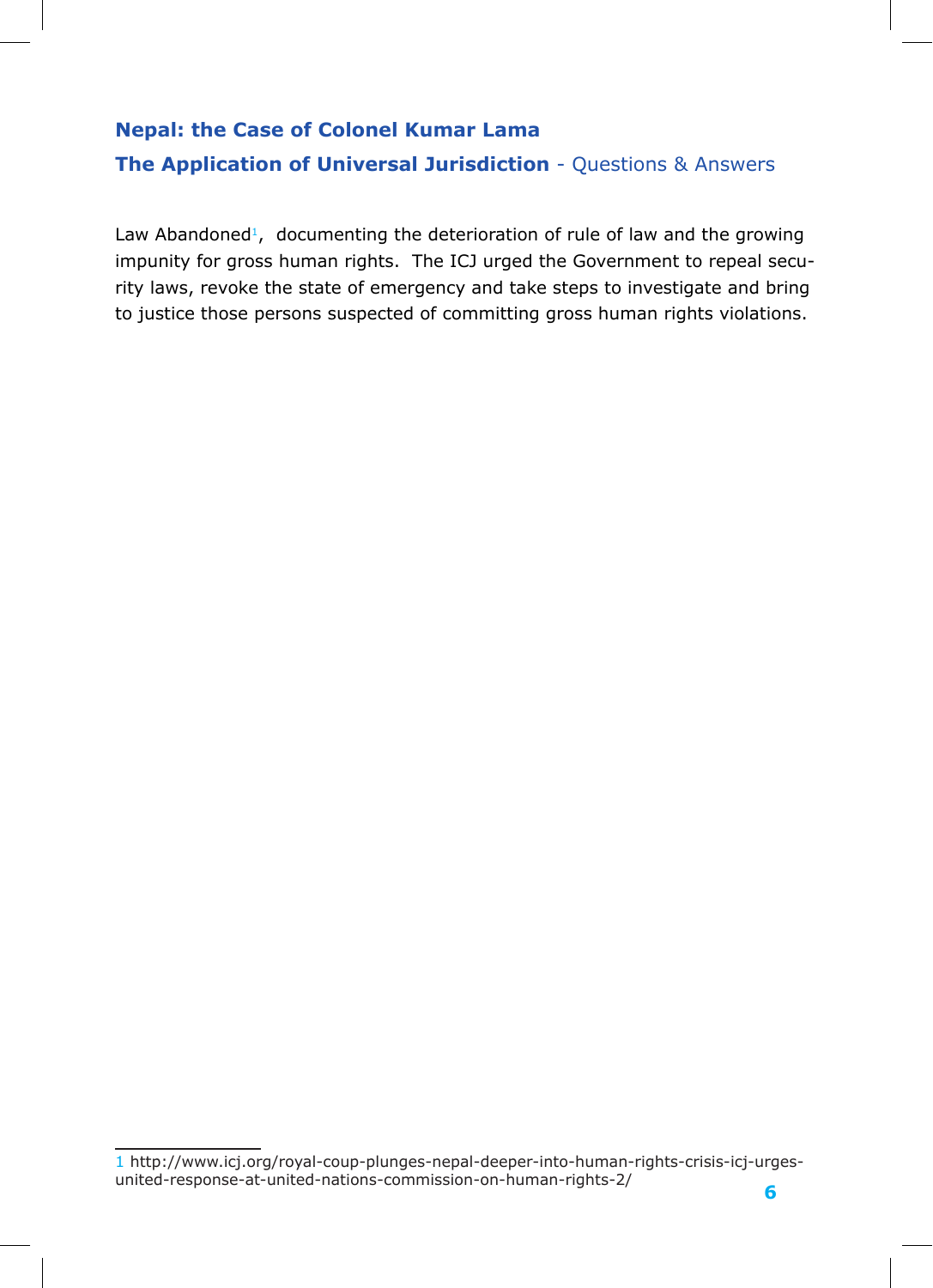Law Abandoned<sup>1</sup>, documenting the deterioration of rule of law and the growing impunity for gross human rights. The ICJ urged the Government to repeal security laws, revoke the state of emergency and take steps to investigate and bring to justice those persons suspected of committing gross human rights violations.

1 http://www.icj.org/royal-coup-plunges-nepal-deeper-into-human-rights-crisis-icj-urgesunited-response-at-united-nations-commission-on-human-rights-2/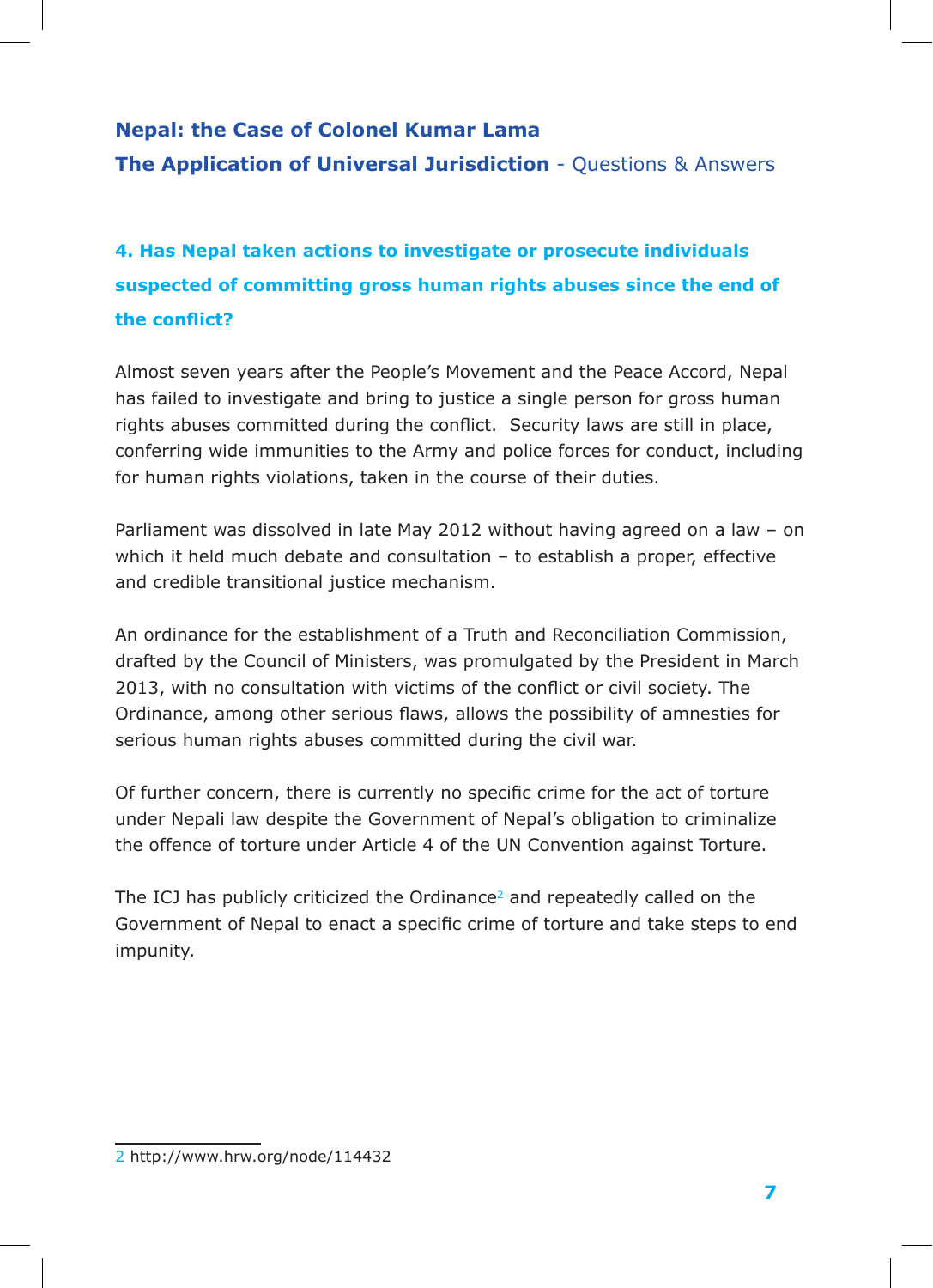**4. Has Nepal taken actions to investigate or prosecute individuals suspected of committing gross human rights abuses since the end of the conflict?**

Almost seven years after the People's Movement and the Peace Accord, Nepal has failed to investigate and bring to justice a single person for gross human rights abuses committed during the conflict. Security laws are still in place, conferring wide immunities to the Army and police forces for conduct, including for human rights violations, taken in the course of their duties.

Parliament was dissolved in late May 2012 without having agreed on a law – on which it held much debate and consultation – to establish a proper, effective and credible transitional justice mechanism.

An ordinance for the establishment of a Truth and Reconciliation Commission, drafted by the Council of Ministers, was promulgated by the President in March 2013, with no consultation with victims of the conflict or civil society. The Ordinance, among other serious flaws, allows the possibility of amnesties for serious human rights abuses committed during the civil war.

Of further concern, there is currently no specific crime for the act of torture under Nepali law despite the Government of Nepal's obligation to criminalize the offence of torture under Article 4 of the UN Convention against Torture.

The ICJ has publicly criticized the Ordinance<sup>2</sup> and repeatedly called on the Government of Nepal to enact a specific crime of torture and take steps to end impunity.

<sup>2</sup> http://www.hrw.org/node/114432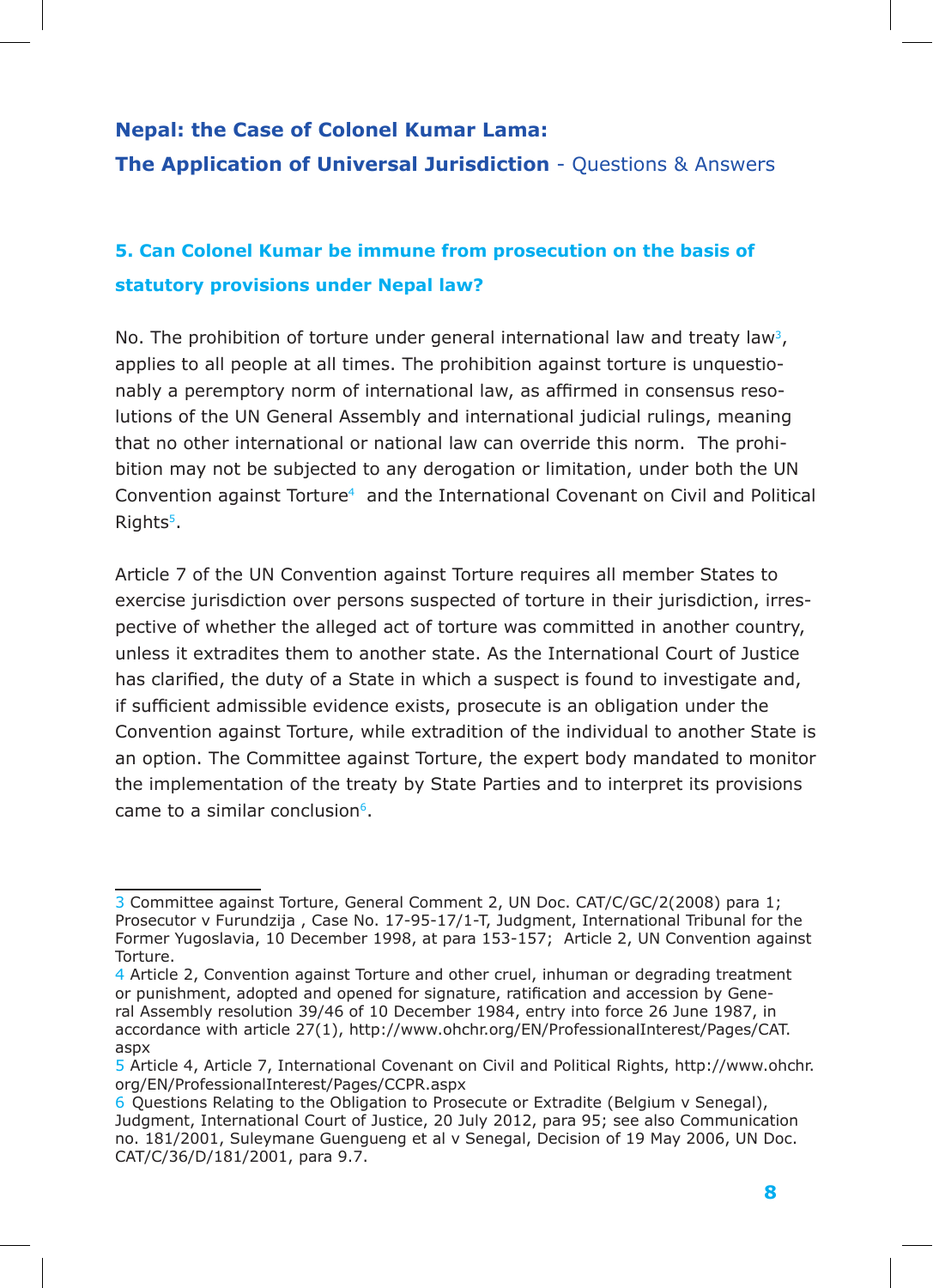## **5. Can Colonel Kumar be immune from prosecution on the basis of statutory provisions under Nepal law?**

No. The prohibition of torture under general international law and treaty law<sup>3</sup>, applies to all people at all times. The prohibition against torture is unquestionably a peremptory norm of international law, as affirmed in consensus resolutions of the UN General Assembly and international judicial rulings, meaning that no other international or national law can override this norm. The prohibition may not be subjected to any derogation or limitation, under both the UN Convention against Torture4 and the International Covenant on Civil and Political Rights<sup>5</sup>.

Article 7 of the UN Convention against Torture requires all member States to exercise jurisdiction over persons suspected of torture in their jurisdiction, irrespective of whether the alleged act of torture was committed in another country, unless it extradites them to another state. As the International Court of Justice has clarified, the duty of a State in which a suspect is found to investigate and, if sufficient admissible evidence exists, prosecute is an obligation under the Convention against Torture, while extradition of the individual to another State is an option. The Committee against Torture, the expert body mandated to monitor the implementation of the treaty by State Parties and to interpret its provisions came to a similar conclusion $6$ .

<sup>3</sup> Committee against Torture, General Comment 2, UN Doc. CAT/C/GC/2(2008) para 1; Prosecutor v Furundzija , Case No. 17-95-17/1-T, Judgment, International Tribunal for the Former Yugoslavia, 10 December 1998, at para 153-157; Article 2, UN Convention against Torture.

<sup>4</sup> Article 2, Convention against Torture and other cruel, inhuman or degrading treatment or punishment, adopted and opened for signature, ratification and accession by General Assembly resolution 39/46 of 10 December 1984, entry into force 26 June 1987, in accordance with article 27(1), http://www.ohchr.org/EN/ProfessionalInterest/Pages/CAT. aspx

<sup>5</sup> Article 4, Article 7, International Covenant on Civil and Political Rights, http://www.ohchr. org/EN/ProfessionalInterest/Pages/CCPR.aspx

<sup>6</sup> Questions Relating to the Obligation to Prosecute or Extradite (Belgium v Senegal), Judgment, International Court of Justice, 20 July 2012, para 95; see also Communication no. 181/2001, Suleymane Guengueng et al v Senegal, Decision of 19 May 2006, UN Doc. CAT/C/36/D/181/2001, para 9.7.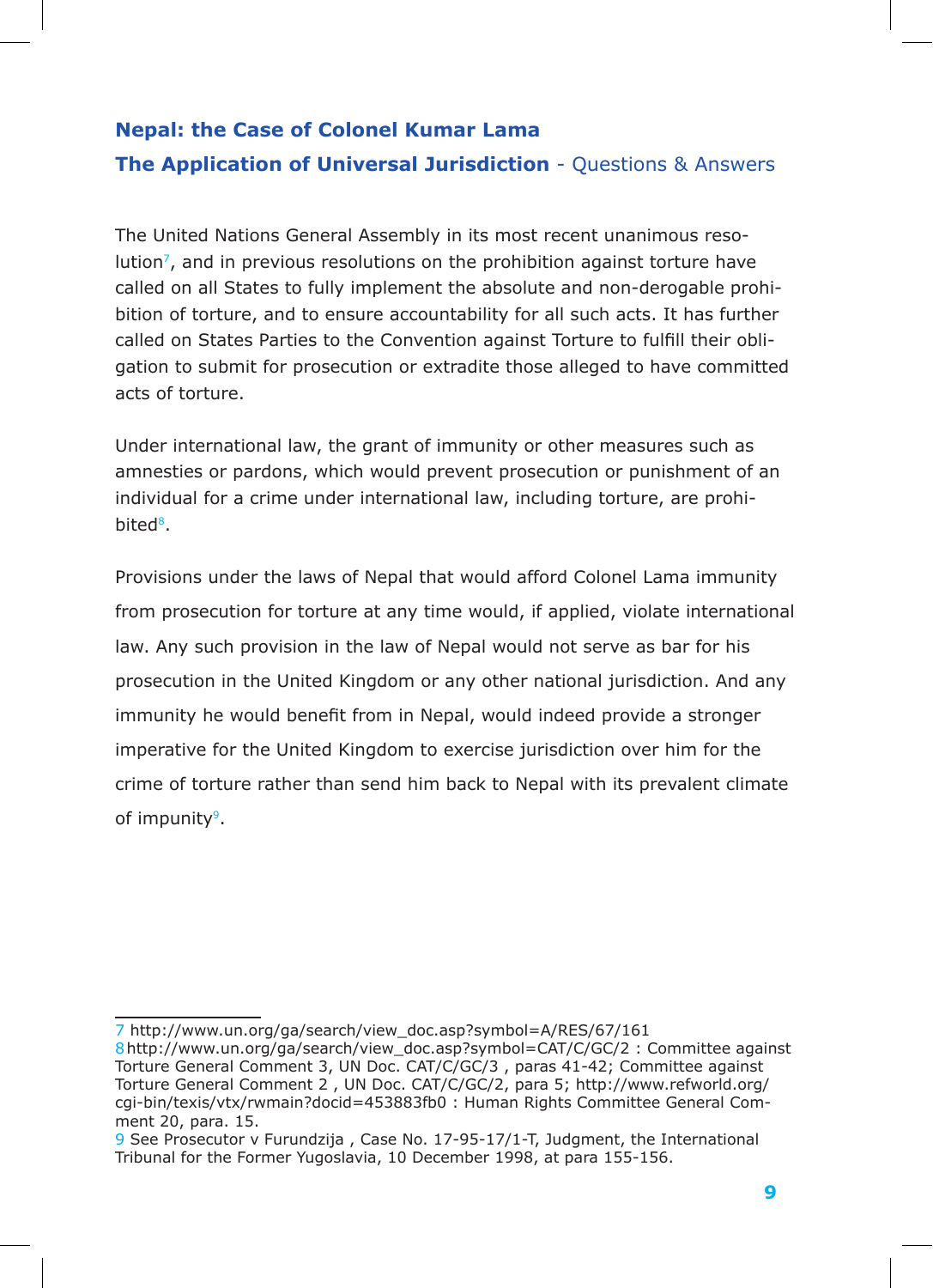The United Nations General Assembly in its most recent unanimous reso $lution<sup>7</sup>$ , and in previous resolutions on the prohibition against torture have called on all States to fully implement the absolute and non-derogable prohibition of torture, and to ensure accountability for all such acts. It has further called on States Parties to the Convention against Torture to fulfill their obligation to submit for prosecution or extradite those alleged to have committed acts of torture.

Under international law, the grant of immunity or other measures such as amnesties or pardons, which would prevent prosecution or punishment of an individual for a crime under international law, including torture, are prohibited<sup>8</sup>.

Provisions under the laws of Nepal that would afford Colonel Lama immunity from prosecution for torture at any time would, if applied, violate international law. Any such provision in the law of Nepal would not serve as bar for his prosecution in the United Kingdom or any other national jurisdiction. And any immunity he would benefit from in Nepal, would indeed provide a stronger imperative for the United Kingdom to exercise jurisdiction over him for the crime of torture rather than send him back to Nepal with its prevalent climate of impunity<sup>9</sup>.

<sup>7</sup> http://www.un.org/ga/search/view\_doc.asp?symbol=A/RES/67/161

<sup>8</sup>http://www.un.org/ga/search/view\_doc.asp?symbol=CAT/C/GC/2 : Committee against Torture General Comment 3, UN Doc. CAT/C/GC/3 , paras 41-42; Committee against Torture General Comment 2 , UN Doc. CAT/C/GC/2, para 5; http://www.refworld.org/ cgi-bin/texis/vtx/rwmain?docid=453883fb0 : Human Rights Committee General Comment 20, para. 15.

<sup>9</sup> See Prosecutor v Furundzija , Case No. 17-95-17/1-T, Judgment, the International Tribunal for the Former Yugoslavia, 10 December 1998, at para 155-156.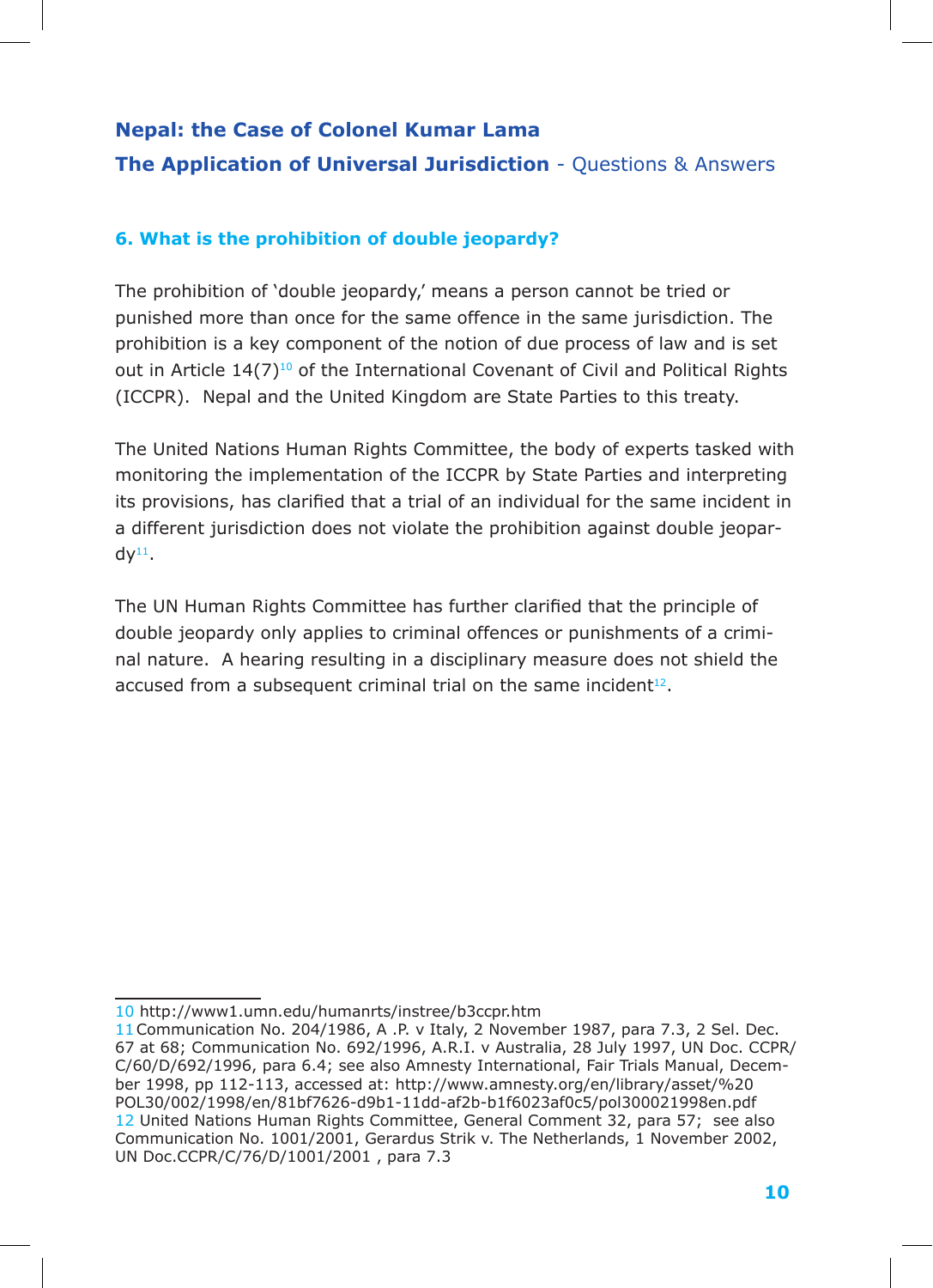### **6. What is the prohibition of double jeopardy?**

more increased to a decay of purposed of the same offence in the same jurisdiction. The punished more than once for the same offence in the same jurisdiction. The out in Article  $14(7)^{10}$  of the International Covenant of Civil and Political Rights (ICCPR). Nepal and the United Kingdom are State Parties to this treaty. The prohibition of 'double jeopardy,' means a person cannot be tried or prohibition is a key component of the notion of due process of law and is set

The United Nations Human Rights Committee, the body of experts tasked with monitoring the implementation of the ICCPR by State Parties and interpreting its provisions, has clarified that a trial of an individual for the same incident in a different jurisdiction does not violate the prohibition against double jeopar $dy^{11}$ .

The UN Human Rights Committee has further clarified that the principle of double jeopardy only applies to criminal offences or punishments of a criminal nature. A hearing resulting in a disciplinary measure does not shield the accused from a subsequent criminal trial on the same incident<sup>12</sup>.

<sup>10</sup> http://www1.umn.edu/humanrts/instree/b3ccpr.htm

<sup>11</sup>Communication No. 204/1986, A .P. v Italy, 2 November 1987, para 7.3, 2 Sel. Dec. 67 at 68; Communication No. 692/1996, A.R.I. v Australia, 28 July 1997, UN Doc. CCPR/ C/60/D/692/1996, para 6.4; see also Amnesty International, Fair Trials Manual, December 1998, pp 112-113, accessed at: http://www.amnesty.org/en/library/asset/%20 POL30/002/1998/en/81bf7626-d9b1-11dd-af2b-b1f6023af0c5/pol300021998en.pdf 12 United Nations Human Rights Committee, General Comment 32, para 57; see also Communication No. 1001/2001, Gerardus Strik v. The Netherlands, 1 November 2002, UN Doc.CCPR/C/76/D/1001/2001 , para 7.3